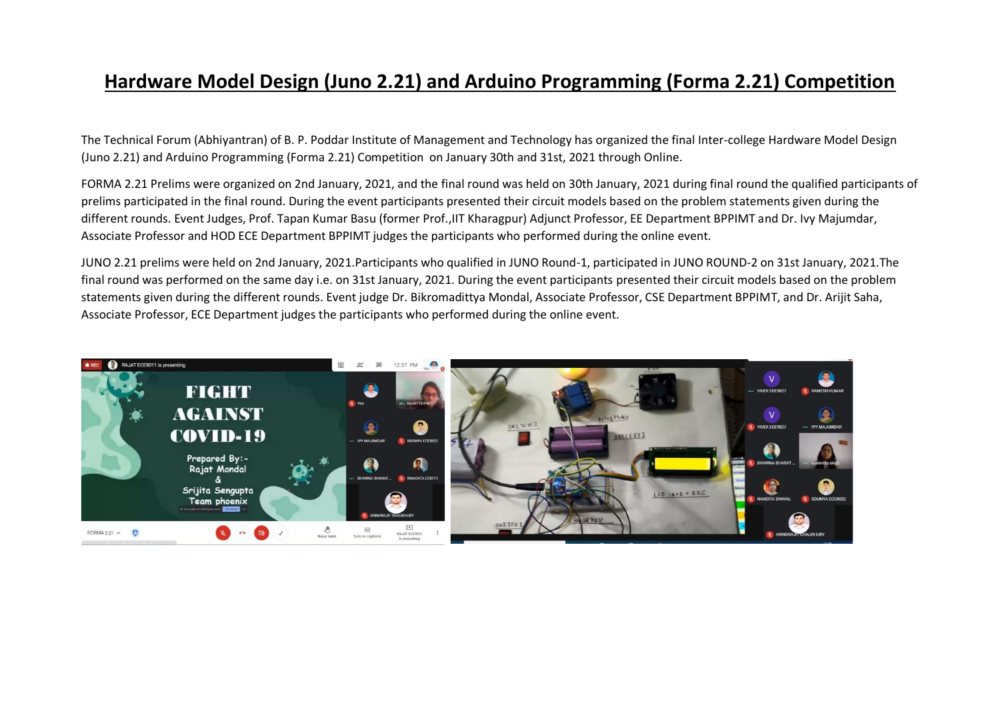## **Hardware Model Design (Juno 2.21) and Arduino Programming (Forma 2.21) Competition**

The Technical Forum (Abhiyantran) of B. P. Poddar Institute of Management and Technology has organized the final Inter-college Hardware Model Design (Juno 2.21) and Arduino Programming (Forma 2.21) Competition on January 30th and 31st, 2021 through Online.

FORMA 2.21 Prelims were organized on 2nd January, 2021, and the final round was held on 30th January, 2021 during final round the qualified participants of prelims participated in the final round. During the event participants presented their circuit models based on the problem statements given during the different rounds. Event Judges, Prof. Tapan Kumar Basu (former Prof.,IIT Kharagpur) Adjunct Professor, EE Department BPPIMT and Dr. Ivy Majumdar, Associate Professor and HOD ECE Department BPPIMT judges the participants who performed during the online event.

JUNO 2.21 prelims were held on 2nd January, 2021.Participants who qualified in JUNO Round-1, participated in JUNO ROUND-2 on 31st January, 2021.The final round was performed on the same day i.e. on 31st January, 2021. During the event participants presented their circuit models based on the problem statements given during the different rounds. Event judge Dr. Bikromadittya Mondal, Associate Professor, CSE Department BPPIMT, and Dr. Arijit Saha, Associate Professor, ECE Department judges the participants who performed during the online event.

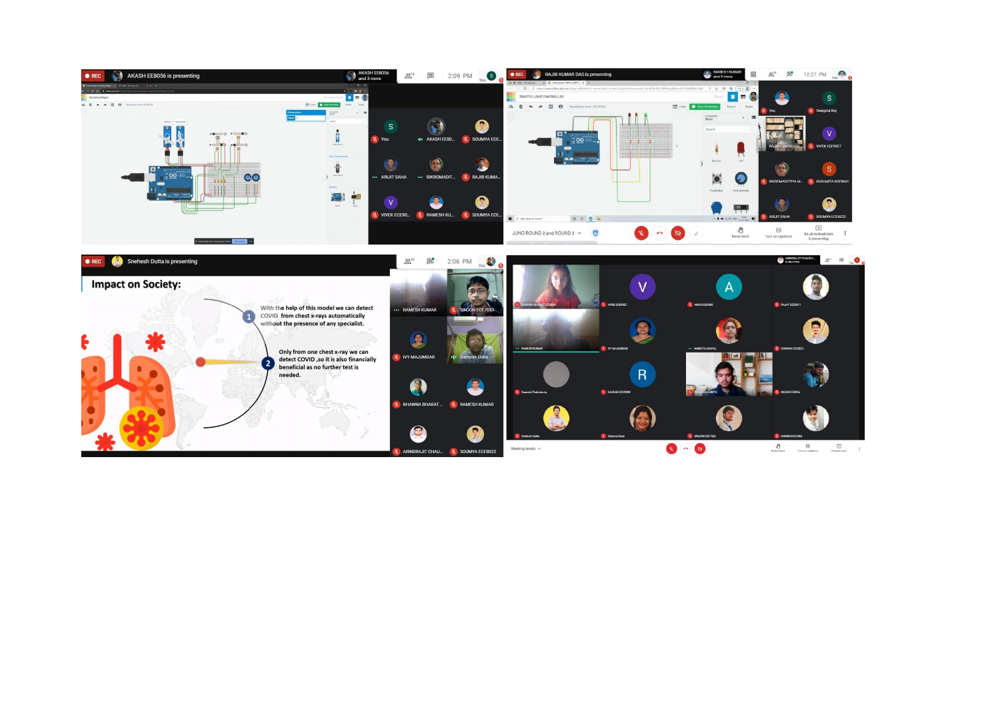